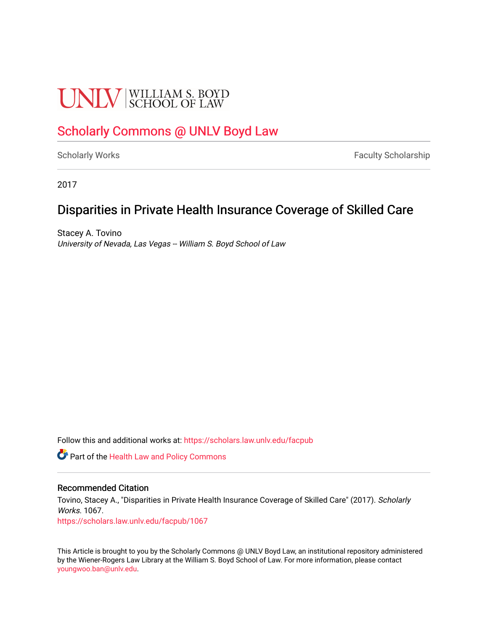# **UNLV** SCHOOL OF LAW

# [Scholarly Commons @ UNLV Boyd Law](https://scholars.law.unlv.edu/)

[Scholarly Works](https://scholars.law.unlv.edu/facpub) **Faculty Scholarship** Faculty Scholarship

2017

# Disparities in Private Health Insurance Coverage of Skilled Care

Stacey A. Tovino University of Nevada, Las Vegas -- William S. Boyd School of Law

Follow this and additional works at: [https://scholars.law.unlv.edu/facpub](https://scholars.law.unlv.edu/facpub?utm_source=scholars.law.unlv.edu%2Ffacpub%2F1067&utm_medium=PDF&utm_campaign=PDFCoverPages)

**C** Part of the Health Law and Policy Commons

### Recommended Citation

Tovino, Stacey A., "Disparities in Private Health Insurance Coverage of Skilled Care" (2017). Scholarly Works. 1067.

[https://scholars.law.unlv.edu/facpub/1067](https://scholars.law.unlv.edu/facpub/1067?utm_source=scholars.law.unlv.edu%2Ffacpub%2F1067&utm_medium=PDF&utm_campaign=PDFCoverPages) 

This Article is brought to you by the Scholarly Commons @ UNLV Boyd Law, an institutional repository administered by the Wiener-Rogers Law Library at the William S. Boyd School of Law. For more information, please contact [youngwoo.ban@unlv.edu.](mailto:youngwoo.ban@unlv.edu)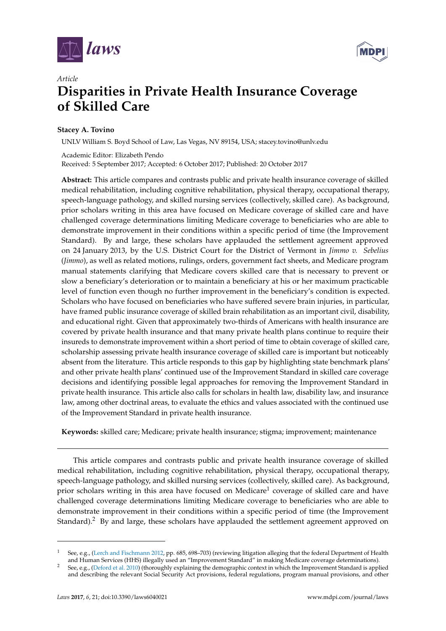



## *Article* **Disparities in Private Health Insurance Coverage of Skilled Care**

## **Stacey A. Tovino**

UNLV William S. Boyd School of Law, Las Vegas, NV 89154, USA; stacey.tovino@unlv.edu

Academic Editor: Elizabeth Pendo Received: 5 September 2017; Accepted: 6 October 2017; Published: 20 October 2017

**Abstract:** This article compares and contrasts public and private health insurance coverage of skilled medical rehabilitation, including cognitive rehabilitation, physical therapy, occupational therapy, speech-language pathology, and skilled nursing services (collectively, skilled care). As background, prior scholars writing in this area have focused on Medicare coverage of skilled care and have challenged coverage determinations limiting Medicare coverage to beneficiaries who are able to demonstrate improvement in their conditions within a specific period of time (the Improvement Standard). By and large, these scholars have applauded the settlement agreement approved on 24 January 2013, by the U.S. District Court for the District of Vermont in *Jimmo v. Sebelius* (*Jimmo*), as well as related motions, rulings, orders, government fact sheets, and Medicare program manual statements clarifying that Medicare covers skilled care that is necessary to prevent or slow a beneficiary's deterioration or to maintain a beneficiary at his or her maximum practicable level of function even though no further improvement in the beneficiary's condition is expected. Scholars who have focused on beneficiaries who have suffered severe brain injuries, in particular, have framed public insurance coverage of skilled brain rehabilitation as an important civil, disability, and educational right. Given that approximately two-thirds of Americans with health insurance are covered by private health insurance and that many private health plans continue to require their insureds to demonstrate improvement within a short period of time to obtain coverage of skilled care, scholarship assessing private health insurance coverage of skilled care is important but noticeably absent from the literature. This article responds to this gap by highlighting state benchmark plans' and other private health plans' continued use of the Improvement Standard in skilled care coverage decisions and identifying possible legal approaches for removing the Improvement Standard in private health insurance. This article also calls for scholars in health law, disability law, and insurance law, among other doctrinal areas, to evaluate the ethics and values associated with the continued use of the Improvement Standard in private health insurance.

**Keywords:** skilled care; Medicare; private health insurance; stigma; improvement; maintenance

This article compares and contrasts public and private health insurance coverage of skilled medical rehabilitation, including cognitive rehabilitation, physical therapy, occupational therapy, speech-language pathology, and skilled nursing services (collectively, skilled care). As background, prior scholars writing in this area have focused on Medicare $^1$  coverage of skilled care and have challenged coverage determinations limiting Medicare coverage to beneficiaries who are able to demonstrate improvement in their conditions within a specific period of time (the Improvement Standard).<sup>2</sup> By and large, these scholars have applauded the settlement agreement approved on

<sup>1</sup> See, e.g., (Lerch and Fischmann 2012, pp. 685, 698–703) (reviewing litigation alleging that the federal Department of Health and Human Services (HHS) illegally used an "Improvement Standard" in making Medicare coverage determinations).

See, e.g., (Deford et al. 2010) (thoroughly explaining the demographic context in which the Improvement Standard is applied and describing the relevant Social Security Act provisions, federal regulations, program manual provisions, and other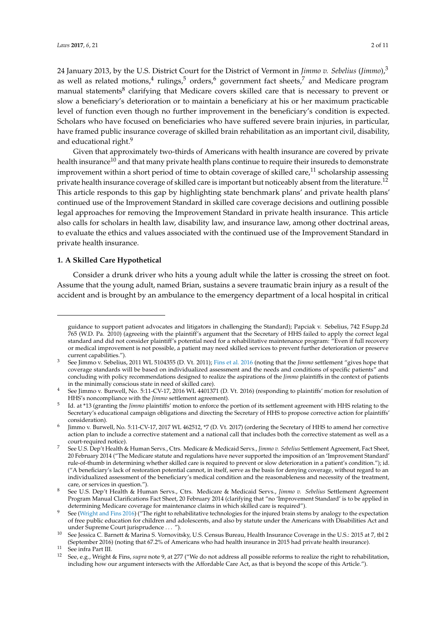24 January 2013, by the U.S. District Court for the District of Vermont in *Jimmo v. Sebelius* (*Jimmo*),<sup>3</sup> as well as related motions, $^4$  rulings, $^5$  orders, $^6$  government fact sheets, $^7$  and Medicare program manual statements $^8$  clarifying that Medicare covers skilled care that is necessary to prevent or slow a beneficiary's deterioration or to maintain a beneficiary at his or her maximum practicable level of function even though no further improvement in the beneficiary's condition is expected. Scholars who have focused on beneficiaries who have suffered severe brain injuries, in particular, have framed public insurance coverage of skilled brain rehabilitation as an important civil, disability, and educational right.<sup>9</sup>

Given that approximately two-thirds of Americans with health insurance are covered by private health insurance<sup>10</sup> and that many private health plans continue to require their insureds to demonstrate improvement within a short period of time to obtain coverage of skilled care, $^{11}$  scholarship assessing private health insurance coverage of skilled care is important but noticeably absent from the literature.<sup>12</sup> This article responds to this gap by highlighting state benchmark plans' and private health plans' continued use of the Improvement Standard in skilled care coverage decisions and outlining possible legal approaches for removing the Improvement Standard in private health insurance. This article also calls for scholars in health law, disability law, and insurance law, among other doctrinal areas, to evaluate the ethics and values associated with the continued use of the Improvement Standard in private health insurance.

#### **1. A Skilled Care Hypothetical**

Consider a drunk driver who hits a young adult while the latter is crossing the street on foot. Assume that the young adult, named Brian, sustains a severe traumatic brain injury as a result of the accident and is brought by an ambulance to the emergency department of a local hospital in critical

guidance to support patient advocates and litigators in challenging the Standard); Papciak v. Sebelius, 742 F.Supp.2d 765 (W.D. Pa. 2010) (agreeing with the plaintiff's argument that the Secretary of HHS failed to apply the correct legal standard and did not consider plaintiff's potential need for a rehabilitative maintenance program: "Even if full recovery or medical improvement is not possible, a patient may need skilled services to prevent further deterioration or preserve current capabilities.").

<sup>3</sup> See Jimmo v. Sebelius, 2011 WL 5104355 (D. Vt. 2011); Fins et al. 2016 (noting that the *Jimmo* settlement "gives hope that coverage standards will be based on individualized assessment and the needs and conditions of specific patients" and concluding with policy recommendations designed to realize the aspirations of the *Jimmo* plaintiffs in the context of patients in the minimally conscious state in need of skilled care).

<sup>4</sup> See Jimmo v. Burwell, No. 5:11-CV-17, 2016 WL 4401371 (D. Vt. 2016) (responding to plaintiffs' motion for resolution of HHS's noncompliance with the *Jimmo* settlement agreement).

<sup>5</sup> Id. at \*13 (granting the *Jimmo* plaintiffs' motion to enforce the portion of its settlement agreement with HHS relating to the Secretary's educational campaign obligations and directing the Secretary of HHS to propose corrective action for plaintiffs' consideration).

<sup>6</sup> Jimmo v. Burwell, No. 5:11-CV-17, 2017 WL 462512, \*7 (D. Vt. 2017) (ordering the Secretary of HHS to amend her corrective action plan to include a corrective statement and a national call that includes both the corrective statement as well as a court-required notice).

<sup>7</sup> See U.S. Dep't Health & Human Servs., Ctrs. Medicare & Medicaid Servs., *Jimmo v. Sebelius* Settlement Agreement, Fact Sheet, 20 February 2014 ("The Medicare statute and regulations have never supported the imposition of an 'Improvement Standard' rule-of-thumb in determining whether skilled care is required to prevent or slow deterioration in a patient's condition."); id. ("A beneficiary's lack of restoration potential cannot, in itself, serve as the basis for denying coverage, without regard to an individualized assessment of the beneficiary's medical condition and the reasonableness and necessity of the treatment, care, or services in question.").

<sup>8</sup> See U.S. Dep't Health & Human Servs., Ctrs. Medicare & Medicaid Servs., *Jimmo v. Sebelius* Settlement Agreement Program Manual Clarifications Fact Sheet, 20 February 2014 (clarifying that "no 'Improvement Standard' is to be applied in determining Medicare coverage for maintenance claims in which skilled care is required").

<sup>9</sup> See (Wright and Fins 2016) ("The right to rehabilitative technologies for the injured brain stems by analogy to the expectation of free public education for children and adolescents, and also by statute under the Americans with Disabilities Act and under Supreme Court jurisprudence . . . ").

See Jessica C. Barnett & Marina S. Vornovitsky, U.S. Census Bureau, Health Insurance Coverage in the U.S.: 2015 at 7, tbl 2 (September 2016) (noting that 67.2% of Americans who had health insurance in 2015 had private health insurance).

 $^{11}$  See infra Part III.

<sup>12</sup> See, e.g., Wright & Fins, *supra* note 9, at 277 ("We do not address all possible reforms to realize the right to rehabilitation, including how our argument intersects with the Affordable Care Act, as that is beyond the scope of this Article.").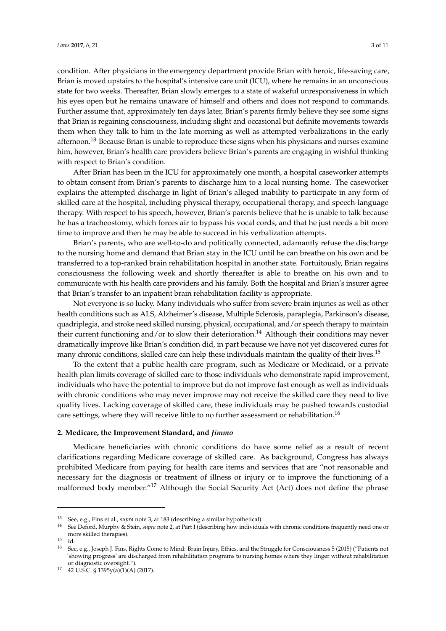condition. After physicians in the emergency department provide Brian with heroic, life-saving care, Brian is moved upstairs to the hospital's intensive care unit (ICU), where he remains in an unconscious state for two weeks. Thereafter, Brian slowly emerges to a state of wakeful unresponsiveness in which his eyes open but he remains unaware of himself and others and does not respond to commands. Further assume that, approximately ten days later, Brian's parents firmly believe they see some signs that Brian is regaining consciousness, including slight and occasional but definite movements towards them when they talk to him in the late morning as well as attempted verbalizations in the early afternoon.<sup>13</sup> Because Brian is unable to reproduce these signs when his physicians and nurses examine him, however, Brian's health care providers believe Brian's parents are engaging in wishful thinking with respect to Brian's condition.

After Brian has been in the ICU for approximately one month, a hospital caseworker attempts to obtain consent from Brian's parents to discharge him to a local nursing home. The caseworker explains the attempted discharge in light of Brian's alleged inability to participate in any form of skilled care at the hospital, including physical therapy, occupational therapy, and speech-language therapy. With respect to his speech, however, Brian's parents believe that he is unable to talk because he has a tracheostomy, which forces air to bypass his vocal cords, and that he just needs a bit more time to improve and then he may be able to succeed in his verbalization attempts.

Brian's parents, who are well-to-do and politically connected, adamantly refuse the discharge to the nursing home and demand that Brian stay in the ICU until he can breathe on his own and be transferred to a top-ranked brain rehabilitation hospital in another state. Fortuitously, Brian regains consciousness the following week and shortly thereafter is able to breathe on his own and to communicate with his health care providers and his family. Both the hospital and Brian's insurer agree that Brian's transfer to an inpatient brain rehabilitation facility is appropriate.

Not everyone is so lucky. Many individuals who suffer from severe brain injuries as well as other health conditions such as ALS, Alzheimer's disease, Multiple Sclerosis, paraplegia, Parkinson's disease, quadriplegia, and stroke need skilled nursing, physical, occupational, and/or speech therapy to maintain their current functioning and/or to slow their deterioration.<sup>14</sup> Although their conditions may never dramatically improve like Brian's condition did, in part because we have not yet discovered cures for many chronic conditions, skilled care can help these individuals maintain the quality of their lives.<sup>15</sup>

To the extent that a public health care program, such as Medicare or Medicaid, or a private health plan limits coverage of skilled care to those individuals who demonstrate rapid improvement, individuals who have the potential to improve but do not improve fast enough as well as individuals with chronic conditions who may never improve may not receive the skilled care they need to live quality lives. Lacking coverage of skilled care, these individuals may be pushed towards custodial care settings, where they will receive little to no further assessment or rehabilitation.<sup>16</sup>

#### **2. Medicare, the Improvement Standard, and** *Jimmo*

Medicare beneficiaries with chronic conditions do have some relief as a result of recent clarifications regarding Medicare coverage of skilled care. As background, Congress has always prohibited Medicare from paying for health care items and services that are "not reasonable and necessary for the diagnosis or treatment of illness or injury or to improve the functioning of a malformed body member."<sup>17</sup> Although the Social Security Act (Act) does not define the phrase

<sup>13</sup> See, e.g., Fins et al., *supra* note 3, at 183 (describing a similar hypothetical).

<sup>14</sup> See Deford, Murphy & Stein, *supra* note 2, at Part I (describing how individuals with chronic conditions frequently need one or more skilled therapies).

 $\frac{15}{16}$  Id.

<sup>16</sup> See, e.g., Joseph J. Fins, Rights Come to Mind: Brain Injury, Ethics, and the Struggle for Consciousness 5 (2015) ("Patients not 'showing progress' are discharged from rehabilitation programs to nursing homes where they linger without rehabilitation or diagnostic oversight.").

<sup>17 42</sup> U.S.C. § 1395y(a)(1)(A) (2017).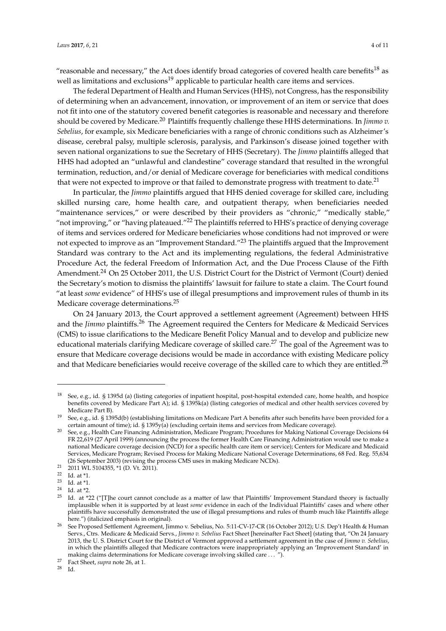"reasonable and necessary," the Act does identify broad categories of covered health care benefits<sup>18</sup> as well as limitations and exclusions<sup>19</sup> applicable to particular health care items and services.

The federal Department of Health and Human Services (HHS), not Congress, has the responsibility of determining when an advancement, innovation, or improvement of an item or service that does not fit into one of the statutory covered benefit categories is reasonable and necessary and therefore should be covered by Medicare.<sup>20</sup> Plaintiffs frequently challenge these HHS determinations. In *Jimmo v. Sebelius*, for example, six Medicare beneficiaries with a range of chronic conditions such as Alzheimer's disease, cerebral palsy, multiple sclerosis, paralysis, and Parkinson's disease joined together with seven national organizations to sue the Secretary of HHS (Secretary). The *Jimmo* plaintiffs alleged that HHS had adopted an "unlawful and clandestine" coverage standard that resulted in the wrongful termination, reduction, and/or denial of Medicare coverage for beneficiaries with medical conditions that were not expected to improve or that failed to demonstrate progress with treatment to date.<sup>21</sup>

In particular, the *Jimmo* plaintiffs argued that HHS denied coverage for skilled care, including skilled nursing care, home health care, and outpatient therapy, when beneficiaries needed "maintenance services," or were described by their providers as "chronic," "medically stable," "not improving," or "having plateaued."<sup>22</sup> The plaintiffs referred to HHS's practice of denying coverage of items and services ordered for Medicare beneficiaries whose conditions had not improved or were not expected to improve as an "Improvement Standard."<sup>23</sup> The plaintiffs argued that the Improvement Standard was contrary to the Act and its implementing regulations, the federal Administrative Procedure Act, the federal Freedom of Information Act, and the Due Process Clause of the Fifth Amendment.<sup>24</sup> On 25 October 2011, the U.S. District Court for the District of Vermont (Court) denied the Secretary's motion to dismiss the plaintiffs' lawsuit for failure to state a claim. The Court found "at least *some* evidence" of HHS's use of illegal presumptions and improvement rules of thumb in its Medicare coverage determinations.<sup>25</sup>

On 24 January 2013, the Court approved a settlement agreement (Agreement) between HHS and the *Jimmo* plaintiffs.<sup>26</sup> The Agreement required the Centers for Medicare & Medicaid Services (CMS) to issue clarifications to the Medicare Benefit Policy Manual and to develop and publicize new educational materials clarifying Medicare coverage of skilled care.<sup>27</sup> The goal of the Agreement was to ensure that Medicare coverage decisions would be made in accordance with existing Medicare policy and that Medicare beneficiaries would receive coverage of the skilled care to which they are entitled.<sup>28</sup>

Id.

<sup>&</sup>lt;sup>18</sup> See, e.g., id. § 1395d (a) (listing categories of inpatient hospital, post-hospital extended care, home health, and hospice benefits covered by Medicare Part A); id. § 1395k(a) (listing categories of medical and other health services covered by Medicare Part B).

<sup>&</sup>lt;sup>19</sup> See, e.g., id. § 1395d(b) (establishing limitations on Medicare Part A benefits after such benefits have been provided for a certain amount of time); id. § 1395y(a) (excluding certain items and services from Medicare coverage).

<sup>20</sup> See, e.g., Health Care Financing Administration, Medicare Program; Procedures for Making National Coverage Decisions 64 FR 22,619 (27 April 1999) (announcing the process the former Health Care Financing Administration would use to make a national Medicare coverage decision (NCD) for a specific health care item or service); Centers for Medicare and Medicaid Services, Medicare Program; Revised Process for Making Medicare National Coverage Determinations, 68 Fed. Reg. 55,634 (26 September 2003) (revising the process CMS uses in making Medicare NCDs).

 $21$  2011 WL 5104355,  $*1$  (D. Vt. 2011).

<sup>&</sup>lt;sup>22</sup> Id. at  $*1$ .

<sup>23</sup> Id. at \*1.

 $^{24}$  Id. at \*2.<br>  $^{25}$  Id. at \*2

Id. at \*22 ("[T]he court cannot conclude as a matter of law that Plaintiffs' Improvement Standard theory is factually implausible when it is supported by at least *some* evidence in each of the Individual Plaintiffs' cases and where other plaintiffs have successfully demonstrated the use of illegal presumptions and rules of thumb much like Plaintiffs allege here.") (italicized emphasis in original).

<sup>26</sup> See Proposed Settlement Agreement, Jimmo v. Sebelius, No. 5:11-CV-17-CR (16 October 2012); U.S. Dep't Health & Human Servs., Ctrs. Medicare & Medicaid Servs., *Jimmo v. Sebelius* Fact Sheet [hereinafter Fact Sheet] (stating that, "On 24 January 2013, the U. S. District Court for the District of Vermont approved a settlement agreement in the case of *Jimmo v. Sebelius*, in which the plaintiffs alleged that Medicare contractors were inappropriately applying an 'Improvement Standard' in making claims determinations for Medicare coverage involving skilled care . . . ").

<sup>&</sup>lt;sup>27</sup> Fact Sheet, *supra* note 26, at 1.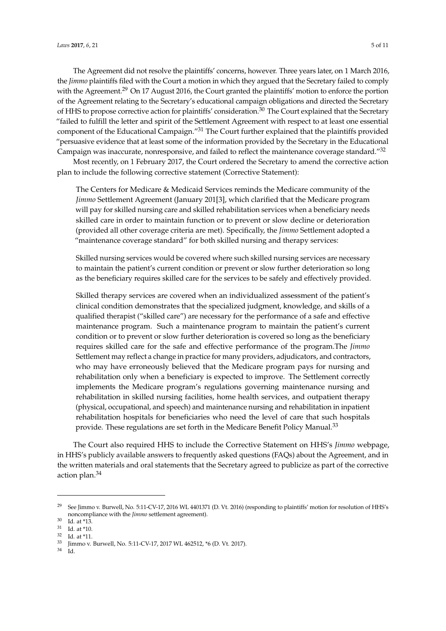The Agreement did not resolve the plaintiffs' concerns, however. Three years later, on 1 March 2016, the *Jimmo* plaintiffs filed with the Court a motion in which they argued that the Secretary failed to comply with the Agreement.<sup>29</sup> On 17 August 2016, the Court granted the plaintiffs' motion to enforce the portion of the Agreement relating to the Secretary's educational campaign obligations and directed the Secretary of HHS to propose corrective action for plaintiffs' consideration.<sup>30</sup> The Court explained that the Secretary "failed to fulfill the letter and spirit of the Settlement Agreement with respect to at least one essential component of the Educational Campaign."<sup>31</sup> The Court further explained that the plaintiffs provided "persuasive evidence that at least some of the information provided by the Secretary in the Educational Campaign was inaccurate, nonresponsive, and failed to reflect the maintenance coverage standard."<sup>32</sup>

Most recently, on 1 February 2017, the Court ordered the Secretary to amend the corrective action plan to include the following corrective statement (Corrective Statement):

The Centers for Medicare & Medicaid Services reminds the Medicare community of the *Jimmo* Settlement Agreement (January 201[3], which clarified that the Medicare program will pay for skilled nursing care and skilled rehabilitation services when a beneficiary needs skilled care in order to maintain function or to prevent or slow decline or deterioration (provided all other coverage criteria are met). Specifically, the *Jimmo* Settlement adopted a "maintenance coverage standard" for both skilled nursing and therapy services:

Skilled nursing services would be covered where such skilled nursing services are necessary to maintain the patient's current condition or prevent or slow further deterioration so long as the beneficiary requires skilled care for the services to be safely and effectively provided.

Skilled therapy services are covered when an individualized assessment of the patient's clinical condition demonstrates that the specialized judgment, knowledge, and skills of a qualified therapist ("skilled care") are necessary for the performance of a safe and effective maintenance program. Such a maintenance program to maintain the patient's current condition or to prevent or slow further deterioration is covered so long as the beneficiary requires skilled care for the safe and effective performance of the program.The *Jimmo* Settlement may reflect a change in practice for many providers, adjudicators, and contractors, who may have erroneously believed that the Medicare program pays for nursing and rehabilitation only when a beneficiary is expected to improve. The Settlement correctly implements the Medicare program's regulations governing maintenance nursing and rehabilitation in skilled nursing facilities, home health services, and outpatient therapy (physical, occupational, and speech) and maintenance nursing and rehabilitation in inpatient rehabilitation hospitals for beneficiaries who need the level of care that such hospitals provide. These regulations are set forth in the Medicare Benefit Policy Manual.<sup>33</sup>

The Court also required HHS to include the Corrective Statement on HHS's *Jimmo* webpage, in HHS's publicly available answers to frequently asked questions (FAQs) about the Agreement, and in the written materials and oral statements that the Secretary agreed to publicize as part of the corrective action plan.<sup>34</sup>

 $1<sub>d</sub>$ 

<sup>29</sup> See Jimmo v. Burwell, No. 5:11-CV-17, 2016 WL 4401371 (D. Vt. 2016) (responding to plaintiffs' motion for resolution of HHS's noncompliance with the *Jimmo* settlement agreement).

<sup>30</sup> Id. at \*13.

<sup>31</sup> Id. at \*10.

 $\frac{32}{33}$  Id. at \*11.

<sup>&</sup>lt;sup>33</sup> Jimmo v. Burwell, No. 5:11-CV-17, 2017 WL 462512,  $*$ 6 (D. Vt. 2017).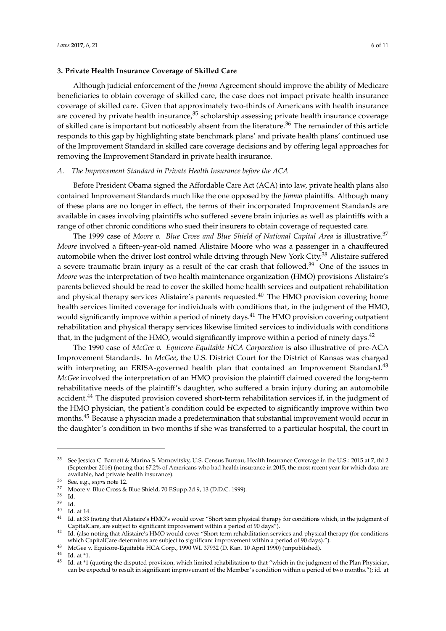Although judicial enforcement of the *Jimmo* Agreement should improve the ability of Medicare beneficiaries to obtain coverage of skilled care, the case does not impact private health insurance coverage of skilled care. Given that approximately two-thirds of Americans with health insurance are covered by private health insurance,<sup>35</sup> scholarship assessing private health insurance coverage of skilled care is important but noticeably absent from the literature.<sup>36</sup> The remainder of this article responds to this gap by highlighting state benchmark plans' and private health plans' continued use of the Improvement Standard in skilled care coverage decisions and by offering legal approaches for removing the Improvement Standard in private health insurance.

#### *A. The Improvement Standard in Private Health Insurance before the ACA*

**3. Private Health Insurance Coverage of Skilled Care**

Before President Obama signed the Affordable Care Act (ACA) into law, private health plans also contained Improvement Standards much like the one opposed by the *Jimmo* plaintiffs. Although many of these plans are no longer in effect, the terms of their incorporated Improvement Standards are available in cases involving plaintiffs who suffered severe brain injuries as well as plaintiffs with a range of other chronic conditions who sued their insurers to obtain coverage of requested care.

The 1999 case of Moore v. Blue Cross and Blue Shield of National Capital Area is illustrative.<sup>37</sup> *Moore* involved a fifteen-year-old named Alistaire Moore who was a passenger in a chauffeured automobile when the driver lost control while driving through New York City.<sup>38</sup> Alistaire suffered a severe traumatic brain injury as a result of the car crash that followed.<sup>39</sup> One of the issues in *Moore* was the interpretation of two health maintenance organization (HMO) provisions Alistaire's parents believed should be read to cover the skilled home health services and outpatient rehabilitation and physical therapy services Alistaire's parents requested. $40$  The HMO provision covering home health services limited coverage for individuals with conditions that, in the judgment of the HMO, would significantly improve within a period of ninety days.<sup>41</sup> The HMO provision covering outpatient rehabilitation and physical therapy services likewise limited services to individuals with conditions that, in the judgment of the HMO, would significantly improve within a period of ninety days.<sup>42</sup>

The 1990 case of *McGee v. Equicore-Equitable HCA Corporation* is also illustrative of pre-ACA Improvement Standards. In *McGee*, the U.S. District Court for the District of Kansas was charged with interpreting an ERISA-governed health plan that contained an Improvement Standard.<sup>43</sup> *McGee* involved the interpretation of an HMO provision the plaintiff claimed covered the long-term rehabilitative needs of the plaintiff's daughter, who suffered a brain injury during an automobile accident.<sup>44</sup> The disputed provision covered short-term rehabilitation services if, in the judgment of the HMO physician, the patient's condition could be expected to significantly improve within two months.<sup>45</sup> Because a physician made a predetermination that substantial improvement would occur in the daughter's condition in two months if she was transferred to a particular hospital, the court in

<sup>35</sup> See Jessica C. Barnett & Marina S. Vornovitsky, U.S. Census Bureau, Health Insurance Coverage in the U.S.: 2015 at 7, tbl 2 (September 2016) (noting that 67.2% of Americans who had health insurance in 2015, the most recent year for which data are available, had private health insurance).

 $rac{36}{37}$  See, e.g., *supra* note 12.

 $\frac{37}{38}$  Moore v. Blue Cross & Blue Shield, 70 F.Supp.2d 9, 13 (D.D.C. 1999).

<sup>38</sup> Id.

<sup>39</sup> Id.

 $^{40}$  Id. at 14.

Id. at 33 (noting that Alistaire's HMO's would cover "Short term physical therapy for conditions which, in the judgment of CapitalCare, are subject to significant improvement within a period of 90 days").

<sup>&</sup>lt;sup>42</sup> Id. (also noting that Alistaire's HMO would cover "Short term rehabilitation services and physical therapy (for conditions which CapitalCare determines are subject to significant improvement within a period of 90 days).").

<sup>43</sup> McGee v. Equicore-Equitable HCA Corp., 1990 WL 37932 (D. Kan. 10 April 1990) (unpublished).

<sup>44</sup> Id. at \*1.

<sup>&</sup>lt;sup>45</sup> Id. at \*1 (quoting the disputed provision, which limited rehabilitation to that "which in the judgment of the Plan Physician, can be expected to result in significant improvement of the Member's condition within a period of two months."); id. at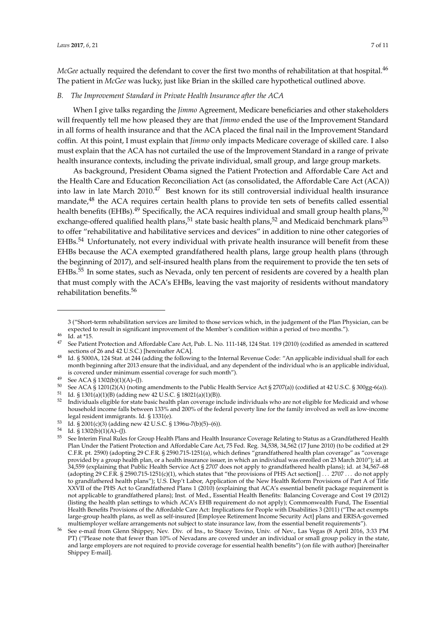*McGee* actually required the defendant to cover the first two months of rehabilitation at that hospital.<sup>46</sup> The patient in *McGee* was lucky, just like Brian in the skilled care hypothetical outlined above.

## *B. The Improvement Standard in Private Health Insurance after the ACA*

When I give talks regarding the *Jimmo* Agreement, Medicare beneficiaries and other stakeholders will frequently tell me how pleased they are that *Jimmo* ended the use of the Improvement Standard in all forms of health insurance and that the ACA placed the final nail in the Improvement Standard coffin. At this point, I must explain that *Jimmo* only impacts Medicare coverage of skilled care. I also must explain that the ACA has not curtailed the use of the Improvement Standard in a range of private health insurance contexts, including the private individual, small group, and large group markets.

As background, President Obama signed the Patient Protection and Affordable Care Act and the Health Care and Education Reconciliation Act (as consolidated, the Affordable Care Act (ACA)) into law in late March 2010.<sup>47</sup> Best known for its still controversial individual health insurance mandate,<sup>48</sup> the ACA requires certain health plans to provide ten sets of benefits called essential health benefits (EHBs).<sup>49</sup> Specifically, the ACA requires individual and small group health plans,<sup>50</sup> exchange-offered qualified health plans,<sup>51</sup> state basic health plans,<sup>52</sup> and Medicaid benchmark plans<sup>53</sup> to offer "rehabilitative and habilitative services and devices" in addition to nine other categories of EHBs.<sup>54</sup> Unfortunately, not every individual with private health insurance will benefit from these EHBs because the ACA exempted grandfathered health plans, large group health plans (through the beginning of 2017), and self-insured health plans from the requirement to provide the ten sets of EHBs.<sup>55</sup> In some states, such as Nevada, only ten percent of residents are covered by a health plan that must comply with the ACA's EHBs, leaving the vast majority of residents without mandatory rehabilitation benefits.<sup>56</sup>

<sup>3 (&</sup>quot;Short-term rehabilitation services are limited to those services which, in the judgement of the Plan Physician, can be expected to result in significant improvement of the Member's condition within a period of two months.").

 $\frac{46}{47}$  Id. at \*15.

<sup>47</sup> See Patient Protection and Affordable Care Act, Pub. L. No. 111-148, 124 Stat. 119 (2010) (codified as amended in scattered sections of 26 and 42 U.S.C.) [hereinafter ACA].

<sup>48</sup> Id. § 5000A, 124 Stat. at 244 (adding the following to the Internal Revenue Code: "An applicable individual shall for each month beginning after 2013 ensure that the individual, and any dependent of the individual who is an applicable individual, is covered under minimum essential coverage for such month").

 $^{49}$  See ACA § 1302(b)(1)(A)–(J).

<sup>50</sup> See ACA § 1201(2)(A) (noting amendments to the Public Health Service Act § 2707(a)) (codified at 42 U.S.C. § 300gg-6(a)).

<sup>51</sup> Id. § 1301(a)(1)(B) (adding new 42 U.S.C. § 18021(a)(1)(B)).<br> $52 \text{ In dividing a listable for state basis holds when average in }$ 

<sup>52</sup> Individuals eligible for state basic health plan coverage include individuals who are not eligible for Medicaid and whose household income falls between 133% and 200% of the federal poverty line for the family involved as well as low-income legal resident immigrants. Id. § 1331(e).

<sup>53</sup> Id. § 2001(c)(3) (adding new 42 U.S.C. § 1396u-7(b)(5)–(6)).

<sup>54</sup> Id.  $\frac{8}{5}$  1302(b)(1)(A)–(J).

<sup>55</sup> See Interim Final Rules for Group Health Plans and Health Insurance Coverage Relating to Status as a Grandfathered Health Plan Under the Patient Protection and Affordable Care Act, 75 Fed. Reg. 34,538, 34,562 (17 June 2010) (to be codified at 29 C.F.R. pt. 2590) (adopting 29 C.F.R. § 2590.715-1251(a), which defines "grandfathered health plan coverage" as "coverage provided by a group health plan, or a health insurance issuer, in which an individual was enrolled on 23 March 2010"); id. at 34,559 (explaining that Public Health Service Act § 2707 does not apply to grandfathered health plans); id. at 34,567–68 (adopting 29 C.F.R. § 2590.715-1251(c)(1), which states that "the provisions of PHS Act section[] . . . 2707 . . . do not apply to grandfathered health plans"); U.S. Dep't Labor, Application of the New Health Reform Provisions of Part A of Title XXVII of the PHS Act to Grandfathered Plans 1 (2010) (explaining that ACA's essential benefit package requirement is not applicable to grandfathered plans); Inst. of Med., Essential Health Benefits: Balancing Coverage and Cost 19 (2012) (listing the health plan settings to which ACA's EHB requirement do not apply); Commonwealth Fund, The Essential Health Benefits Provisions of the Affordable Care Act: Implications for People with Disabilities 3 (2011) ("The act exempts large-group health plans, as well as self-insured [Employee Retirement Income Security Act] plans and ERISA-governed multiemployer welfare arrangements not subject to state insurance law, from the essential benefit requirements").

<sup>56</sup> See e-mail from Glenn Shippey, Nev. Div. of Ins., to Stacey Tovino, Univ. of Nev., Las Vegas (8 April 2016, 3:33 PM PT) ("Please note that fewer than 10% of Nevadans are covered under an individual or small group policy in the state, and large employers are not required to provide coverage for essential health benefits") (on file with author) [hereinafter Shippey E-mail].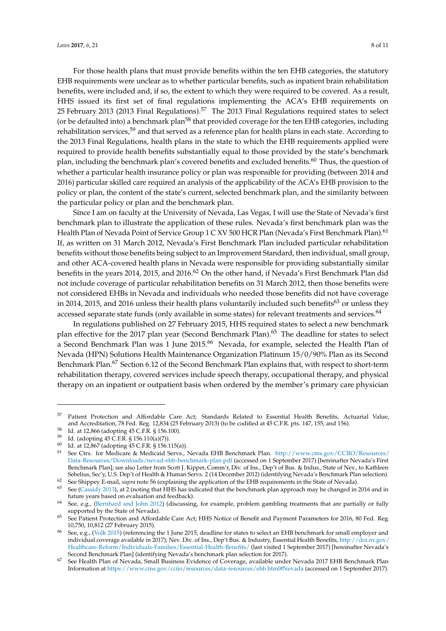For those health plans that must provide benefits within the ten EHB categories, the statutory EHB requirements were unclear as to whether particular benefits, such as inpatient brain rehabilitation benefits, were included and, if so, the extent to which they were required to be covered. As a result, HHS issued its first set of final regulations implementing the ACA's EHB requirements on 25 February 2013 (2013 Final Regulations).<sup>57</sup> The 2013 Final Regulations required states to select (or be defaulted into) a benchmark plan<sup>58</sup> that provided coverage for the ten EHB categories, including rehabilitation services,<sup>59</sup> and that served as a reference plan for health plans in each state. According to the 2013 Final Regulations, health plans in the state to which the EHB requirements applied were required to provide health benefits substantially equal to those provided by the state's benchmark plan, including the benchmark plan's covered benefits and excluded benefits.<sup>60</sup> Thus, the question of whether a particular health insurance policy or plan was responsible for providing (between 2014 and 2016) particular skilled care required an analysis of the applicability of the ACA's EHB provision to the policy or plan, the content of the state's current, selected benchmark plan, and the similarity between the particular policy or plan and the benchmark plan.

Since I am on faculty at the University of Nevada, Las Vegas, I will use the State of Nevada's first benchmark plan to illustrate the application of these rules. Nevada's first benchmark plan was the Health Plan of Nevada Point of Service Group 1 C XV 500 HCR Plan (Nevada's First Benchmark Plan).<sup>61</sup> If, as written on 31 March 2012, Nevada's First Benchmark Plan included particular rehabilitation benefits without those benefits being subject to an Improvement Standard, then individual, small group, and other ACA-covered health plans in Nevada were responsible for providing substantially similar benefits in the years 2014, 2015, and 2016.<sup>62</sup> On the other hand, if Nevada's First Benchmark Plan did not include coverage of particular rehabilitation benefits on 31 March 2012, then those benefits were not considered EHBs in Nevada and individuals who needed those benefits did not have coverage in 2014, 2015, and 2016 unless their health plans voluntarily included such benefits<sup>63</sup> or unless they accessed separate state funds (only available in some states) for relevant treatments and services.<sup>64</sup>

In regulations published on 27 February 2015, HHS required states to select a new benchmark plan effective for the 2017 plan year (Second Benchmark Plan).<sup>65</sup> The deadline for states to select a Second Benchmark Plan was 1 June 2015.<sup>66</sup> Nevada, for example, selected the Health Plan of Nevada (HPN) Solutions Health Maintenance Organization Platinum 15/0/90% Plan as its Second Benchmark Plan.<sup>67</sup> Section 6.12 of the Second Benchmark Plan explains that, with respect to short-term rehabilitation therapy, covered services include speech therapy, occupational therapy, and physical therapy on an inpatient or outpatient basis when ordered by the member's primary care physician

<sup>57</sup> Patient Protection and Affordable Care Act; Standards Related to Essential Health Benefits, Actuarial Value, and Accreditation, 78 Fed. Reg. 12,834 (25 February 2013) (to be codified at 45 C.F.R. pts. 147, 155, and 156).

Id. at 12,866 (adopting 45 C.F.R. § 156.100).

<sup>59</sup> Id. (adopting 45 C.F.R. § 156.110(a)(7)).

<sup>60</sup> Id. (www.primers.)<br>61 at 12,867 (adopting 45 C.F.R. § 156.115(a)).

<sup>61</sup> See Ctrs. for Medicare & Medicaid Servs., Nevada EHB Benchmark Plan. http://www.cms.gov/CCIIO/Resources/ Data-Resources/Downloads/nevad-ehb-benchmark-plan.pdf (accessed on 1 September 2017) [hereinafter Nevada's First Benchmark Plan]; see also Letter from Scott J. Kipper, Comm'r, Div. of Ins., Dep't of Bus. & Indus., State of Nev., to Kathleen Sebelius, Sec'y, U.S. Dep't of Health & Human Servs. 2 (14 December 2012) (identifying Nevada's Benchmark Plan selection). <sup>62</sup> See Shippey E-mail, *supra* note 56 (explaining the application of the EHB requirements in the State of Nevada).

<sup>63</sup> See (Cassidy 2013), at 2 (noting that HHS has indicated that the benchmark plan approach may be changed in 2016 and in future years based on evaluation and feedback).

<sup>64</sup> See, e.g., (Bernhard and John 2012) (discussing, for example, problem gambling treatments that are partially or fully supported by the State of Nevada).

<sup>&</sup>lt;sup>65</sup> See Patient Protection and Affordable Care Act; HHS Notice of Benefit and Payment Parameters for 2016, 80 Fed. Reg. 10,750, 10,812 (27 February 2015).

<sup>66</sup> See, e.g., (Volk 2015) (referencing the 1 June 2015, deadline for states to select an EHB benchmark for small employer and individual coverage available in 2017); Nev. Div. of Ins., Dep't Bus. & Industry, Essential Health Benefits, http://doi.nv.gov/ Healthcare-Reform/Individuals-Families/Essential-Health-Benefits/ (last visited 1 September 2017) [hereinafter Nevada's Second Benchmark Plan] (identifying Nevada's benchmark plan selection for 2017).

<sup>67</sup> See Health Plan of Nevada, Small Business Evidence of Coverage, available under Nevada 2017 EHB Benchmark Plan Information at https://www.cms.gov/cciio/resources/data-resources/ehb.html#Nevada (accessed on 1 September 2017).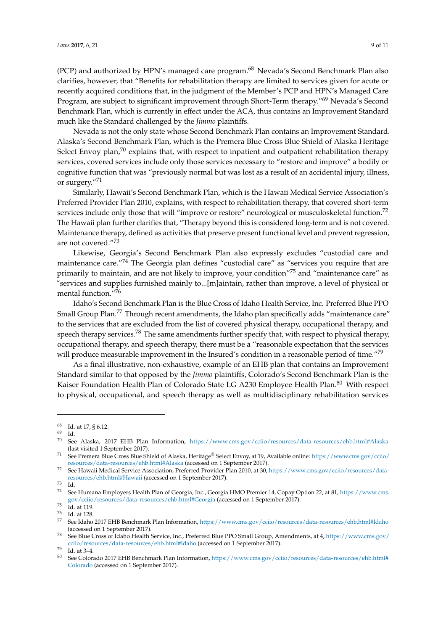(PCP) and authorized by HPN's managed care program.<sup>68</sup> Nevada's Second Benchmark Plan also clarifies, however, that "Benefits for rehabilitation therapy are limited to services given for acute or recently acquired conditions that, in the judgment of the Member's PCP and HPN's Managed Care Program, are subject to significant improvement through Short-Term therapy."<sup>69</sup> Nevada's Second Benchmark Plan, which is currently in effect under the ACA, thus contains an Improvement Standard much like the Standard challenged by the *Jimmo* plaintiffs.

Nevada is not the only state whose Second Benchmark Plan contains an Improvement Standard. Alaska's Second Benchmark Plan, which is the Premera Blue Cross Blue Shield of Alaska Heritage Select Envoy plan, $70$  explains that, with respect to inpatient and outpatient rehabilitation therapy services, covered services include only those services necessary to "restore and improve" a bodily or cognitive function that was "previously normal but was lost as a result of an accidental injury, illness, or surgery."<sup>71</sup>

Similarly, Hawaii's Second Benchmark Plan, which is the Hawaii Medical Service Association's Preferred Provider Plan 2010, explains, with respect to rehabilitation therapy, that covered short-term services include only those that will "improve or restore" neurological or musculoskeletal function.<sup>72</sup> The Hawaii plan further clarifies that, "Therapy beyond this is considered long-term and is not covered. Maintenance therapy, defined as activities that preserve present functional level and prevent regression, are not covered."<sup>73</sup>

Likewise, Georgia's Second Benchmark Plan also expressly excludes "custodial care and maintenance care."<sup>74</sup> The Georgia plan defines "custodial care" as "services you require that are primarily to maintain, and are not likely to improve, your condition"<sup>75</sup> and "maintenance care" as "services and supplies furnished mainly to...[m]aintain, rather than improve, a level of physical or mental function."<sup>76</sup>

Idaho's Second Benchmark Plan is the Blue Cross of Idaho Health Service, Inc. Preferred Blue PPO Small Group Plan.<sup>77</sup> Through recent amendments, the Idaho plan specifically adds "maintenance care" to the services that are excluded from the list of covered physical therapy, occupational therapy, and speech therapy services.<sup>78</sup> The same amendments further specify that, with respect to physical therapy, occupational therapy, and speech therapy, there must be a "reasonable expectation that the services will produce measurable improvement in the Insured's condition in a reasonable period of time."<sup>79</sup>

As a final illustrative, non-exhaustive, example of an EHB plan that contains an Improvement Standard similar to that opposed by the *Jimmo* plaintiffs, Colorado's Second Benchmark Plan is the Kaiser Foundation Health Plan of Colorado State LG A230 Employee Health Plan.<sup>80</sup> With respect to physical, occupational, and speech therapy as well as multidisciplinary rehabilitation services

 $^{68}$  Id. at 17, § 6.12.

<sup>69</sup> Id.

<sup>70</sup> See Alaska, 2017 EHB Plan Information, https://www.cms.gov/cciio/resources/data-resources/ehb.html#Alaska (last visited 1 September 2017).

<sup>71</sup> See Premera Blue Cross Blue Shield of Alaska, Heritage® Select Envoy, at 19, Available online: https://www.cms.gov/cciio/ resources/data-resources/ehb.html#Alaska (accessed on 1 September 2017).

<sup>72</sup> See Hawaii Medical Service Association, Preferred Provider Plan 2010, at 30, https://www.cms.gov/cciio/resources/dataresources/ehb.html#Hawaii (accessed on 1 September 2017).

 $\frac{73}{74}$  Id.

<sup>74</sup> See Humana Employers Health Plan of Georgia, Inc., Georgia HMO Premier 14, Copay Option 22, at 81, https://www.cms. gov/cciio/resources/data-resources/ehb.html#Georgia (accessed on 1 September 2017).

 $75 \text{ Id.}$  at 119.

 $\frac{76}{77}$  Id. at 128.

<sup>77</sup> See Idaho 2017 EHB Benchmark Plan Information, https://www.cms.gov/cciio/resources/data-resources/ehb.html#Idaho (accessed on 1 September 2017).

<sup>78</sup> See Blue Cross of Idaho Health Service, Inc., Preferred Blue PPO Small Group, Amendments, at 4, https://www.cms.gov/ cciio/resources/data-resources/ehb.html#Idaho (accessed on 1 September 2017).

 $^{79}$  Id. at 3–4.

See Colorado 2017 EHB Benchmark Plan Information, https://www.cms.gov/cciio/resources/data-resources/ehb.html# Colorado (accessed on 1 September 2017).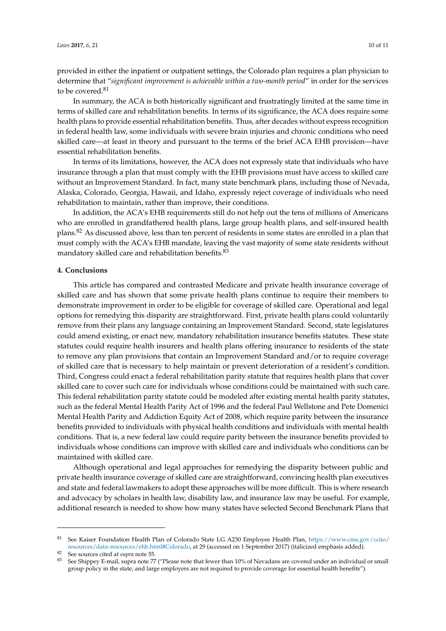provided in either the inpatient or outpatient settings, the Colorado plan requires a plan physician to determine that "*significant improvement is achievable within a two-month period*" in order for the services to be covered.<sup>81</sup>

In summary, the ACA is both historically significant and frustratingly limited at the same time in terms of skilled care and rehabilitation benefits. In terms of its significance, the ACA does require some health plans to provide essential rehabilitation benefits. Thus, after decades without express recognition in federal health law, some individuals with severe brain injuries and chronic conditions who need skilled care—at least in theory and pursuant to the terms of the brief ACA EHB provision—have essential rehabilitation benefits.

In terms of its limitations, however, the ACA does not expressly state that individuals who have insurance through a plan that must comply with the EHB provisions must have access to skilled care without an Improvement Standard. In fact, many state benchmark plans, including those of Nevada, Alaska, Colorado, Georgia, Hawaii, and Idaho, expressly reject coverage of individuals who need rehabilitation to maintain, rather than improve, their conditions.

In addition, the ACA's EHB requirements still do not help out the tens of millions of Americans who are enrolled in grandfathered health plans, large group health plans, and self-insured health plans.<sup>82</sup> As discussed above, less than ten percent of residents in some states are enrolled in a plan that must comply with the ACA's EHB mandate, leaving the vast majority of some state residents without mandatory skilled care and rehabilitation benefits.<sup>83</sup>

#### **4. Conclusions**

This article has compared and contrasted Medicare and private health insurance coverage of skilled care and has shown that some private health plans continue to require their members to demonstrate improvement in order to be eligible for coverage of skilled care. Operational and legal options for remedying this disparity are straightforward. First, private health plans could voluntarily remove from their plans any language containing an Improvement Standard. Second, state legislatures could amend existing, or enact new, mandatory rehabilitation insurance benefits statutes. These state statutes could require health insurers and health plans offering insurance to residents of the state to remove any plan provisions that contain an Improvement Standard and/or to require coverage of skilled care that is necessary to help maintain or prevent deterioration of a resident's condition. Third, Congress could enact a federal rehabilitation parity statute that requires health plans that cover skilled care to cover such care for individuals whose conditions could be maintained with such care. This federal rehabilitation parity statute could be modeled after existing mental health parity statutes, such as the federal Mental Health Parity Act of 1996 and the federal Paul Wellstone and Pete Domenici Mental Health Parity and Addiction Equity Act of 2008, which require parity between the insurance benefits provided to individuals with physical health conditions and individuals with mental health conditions. That is, a new federal law could require parity between the insurance benefits provided to individuals whose conditions can improve with skilled care and individuals who conditions can be maintained with skilled care.

Although operational and legal approaches for remedying the disparity between public and private health insurance coverage of skilled care are straightforward, convincing health plan executives and state and federal lawmakers to adopt these approaches will be more difficult. This is where research and advocacy by scholars in health law, disability law, and insurance law may be useful. For example, additional research is needed to show how many states have selected Second Benchmark Plans that

<sup>81</sup> See Kaiser Foundation Health Plan of Colorado State LG A230 Employee Health Plan, https://www.cms.gov/cciio/ resources/data-resources/ehb.html#Colorado, at 29 (accessed on 1 September 2017) (italicized emphasis added).

<sup>82</sup> See sources cited at *supra* note 55.

See Shippey E-mail, supra note 77 ("Please note that fewer than 10% of Nevadans are covered under an individual or small group policy in the state, and large employers are not required to provide coverage for essential health benefits").